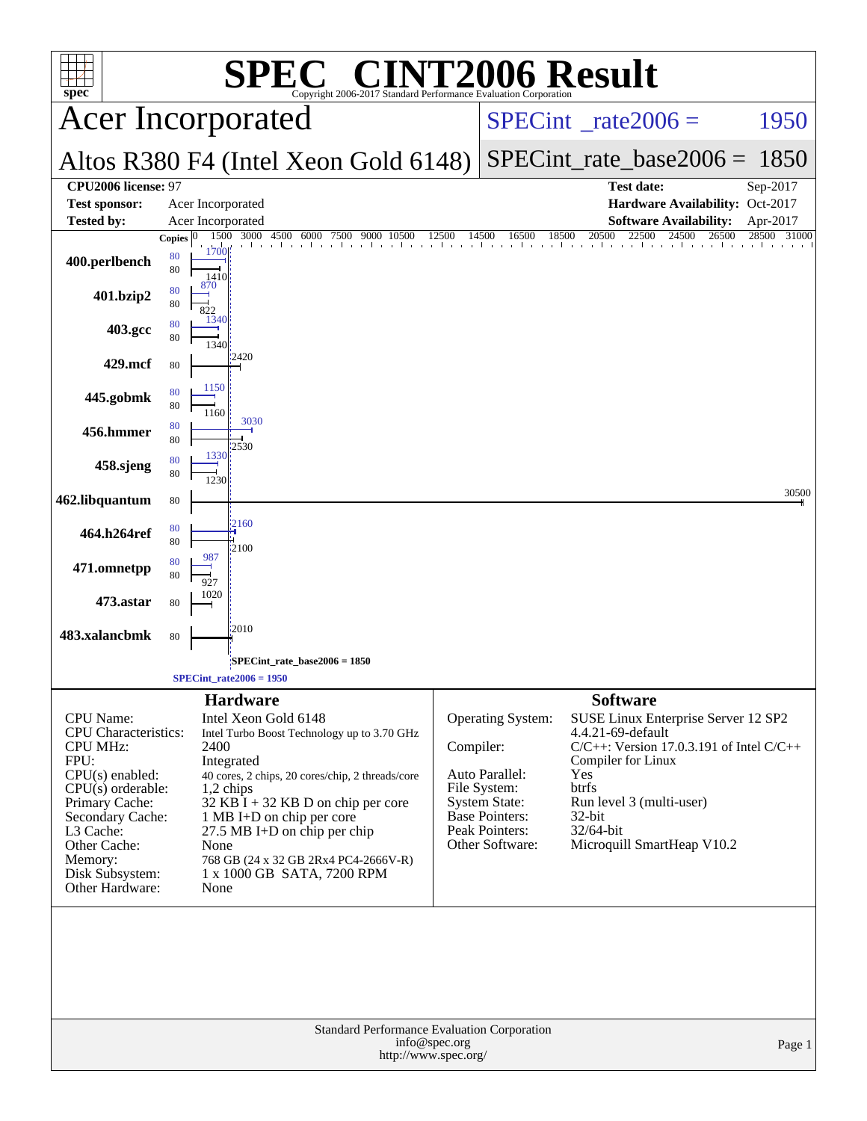| $spec^*$                                                                                                                                                                                                                            | $\mathbf{P}(\mathbb{R})$<br>SPE<br>Copyright 2006-2017 Standard Performance Evaluation Corporation                                                                                                                                                                                                                                                    |           |                                                                                                                                           | <b>T2006 Result</b>                                                                                                                                                                                                              |                |
|-------------------------------------------------------------------------------------------------------------------------------------------------------------------------------------------------------------------------------------|-------------------------------------------------------------------------------------------------------------------------------------------------------------------------------------------------------------------------------------------------------------------------------------------------------------------------------------------------------|-----------|-------------------------------------------------------------------------------------------------------------------------------------------|----------------------------------------------------------------------------------------------------------------------------------------------------------------------------------------------------------------------------------|----------------|
|                                                                                                                                                                                                                                     | <b>Acer Incorporated</b>                                                                                                                                                                                                                                                                                                                              |           | $SPECint^{\circ}$ <sub>_rate2006</sub> =                                                                                                  | 1950                                                                                                                                                                                                                             |                |
|                                                                                                                                                                                                                                     | Altos R380 F4 (Intel Xeon Gold 6148)                                                                                                                                                                                                                                                                                                                  |           |                                                                                                                                           | $SPECint_rate\_base2006 =$                                                                                                                                                                                                       | 1850           |
| CPU2006 license: 97<br><b>Test sponsor:</b>                                                                                                                                                                                         | Acer Incorporated                                                                                                                                                                                                                                                                                                                                     |           |                                                                                                                                           | <b>Test date:</b><br>Hardware Availability: Oct-2017                                                                                                                                                                             | Sep-2017       |
| <b>Tested by:</b>                                                                                                                                                                                                                   | Acer Incorporated                                                                                                                                                                                                                                                                                                                                     |           |                                                                                                                                           | <b>Software Availability:</b>                                                                                                                                                                                                    | Apr-2017       |
| 400.perlbench                                                                                                                                                                                                                       | 1500<br>3000<br>4500<br>6000<br>9000<br>7500<br>10500<br><b>Copies</b><br>1700<br>80<br>80<br>1410<br>870                                                                                                                                                                                                                                             | 12500     | 18500<br>14500<br>16500                                                                                                                   | 20500<br>22500<br>24500<br>26500                                                                                                                                                                                                 | 28500<br>31000 |
| 401.bzip2                                                                                                                                                                                                                           | 80<br>80<br>822                                                                                                                                                                                                                                                                                                                                       |           |                                                                                                                                           |                                                                                                                                                                                                                                  |                |
| 403.gcc                                                                                                                                                                                                                             | 1340<br>80<br>80<br>1340                                                                                                                                                                                                                                                                                                                              |           |                                                                                                                                           |                                                                                                                                                                                                                                  |                |
| 429.mcf                                                                                                                                                                                                                             | 12420<br>80                                                                                                                                                                                                                                                                                                                                           |           |                                                                                                                                           |                                                                                                                                                                                                                                  |                |
| 445.gobmk                                                                                                                                                                                                                           | 1150<br>80<br>80<br>1160                                                                                                                                                                                                                                                                                                                              |           |                                                                                                                                           |                                                                                                                                                                                                                                  |                |
| 456.hmmer                                                                                                                                                                                                                           | 3030<br>80<br>80<br>2530                                                                                                                                                                                                                                                                                                                              |           |                                                                                                                                           |                                                                                                                                                                                                                                  |                |
| 458.sjeng                                                                                                                                                                                                                           | 1330<br>80<br>80<br>1230                                                                                                                                                                                                                                                                                                                              |           |                                                                                                                                           |                                                                                                                                                                                                                                  |                |
| 462.libquantum                                                                                                                                                                                                                      | 80                                                                                                                                                                                                                                                                                                                                                    |           |                                                                                                                                           |                                                                                                                                                                                                                                  | 30500          |
| 464.h264ref                                                                                                                                                                                                                         | 2160<br>80<br>80<br>2100                                                                                                                                                                                                                                                                                                                              |           |                                                                                                                                           |                                                                                                                                                                                                                                  |                |
| 471.omnetpp                                                                                                                                                                                                                         | 987<br>80<br>80                                                                                                                                                                                                                                                                                                                                       |           |                                                                                                                                           |                                                                                                                                                                                                                                  |                |
| 473.astar                                                                                                                                                                                                                           | 1020<br>80                                                                                                                                                                                                                                                                                                                                            |           |                                                                                                                                           |                                                                                                                                                                                                                                  |                |
| 483.xalancbmk                                                                                                                                                                                                                       | 2010<br>80                                                                                                                                                                                                                                                                                                                                            |           |                                                                                                                                           |                                                                                                                                                                                                                                  |                |
|                                                                                                                                                                                                                                     | SPECint_rate_base2006 = 1850;<br>$SPECint_rate2006 = 1950$                                                                                                                                                                                                                                                                                            |           |                                                                                                                                           |                                                                                                                                                                                                                                  |                |
|                                                                                                                                                                                                                                     | <b>Hardware</b>                                                                                                                                                                                                                                                                                                                                       |           |                                                                                                                                           | <b>Software</b>                                                                                                                                                                                                                  |                |
| CPU Name:<br><b>CPU</b> Characteristics:<br><b>CPU MHz:</b><br>FPU:<br>$CPU(s)$ enabled:<br>$CPU(s)$ orderable:<br>Primary Cache:<br>Secondary Cache:<br>L3 Cache:<br>Other Cache:<br>Memory:<br>Disk Subsystem:<br>Other Hardware: | Intel Xeon Gold 6148<br>Intel Turbo Boost Technology up to 3.70 GHz<br>2400<br>Integrated<br>40 cores, 2 chips, 20 cores/chip, 2 threads/core<br>1,2 chips<br>$32$ KB I + 32 KB D on chip per core<br>1 MB I+D on chip per core<br>27.5 MB I+D on chip per chip<br>None<br>768 GB (24 x 32 GB 2Rx4 PC4-2666V-R)<br>1 x 1000 GB SATA, 7200 RPM<br>None | Compiler: | <b>Operating System:</b><br>Auto Parallel:<br>File System:<br><b>System State:</b><br>Base Pointers:<br>Peak Pointers:<br>Other Software: | SUSE Linux Enterprise Server 12 SP2<br>4.4.21-69-default<br>$C/C++$ : Version 17.0.3.191 of Intel $C/C++$<br>Compiler for Linux<br>Yes<br>btrfs<br>Run level 3 (multi-user)<br>32-bit<br>32/64-bit<br>Microquill SmartHeap V10.2 |                |
|                                                                                                                                                                                                                                     | Standard Performance Evaluation Corporation<br>info@spec.org                                                                                                                                                                                                                                                                                          |           |                                                                                                                                           |                                                                                                                                                                                                                                  |                |
|                                                                                                                                                                                                                                     | http://www.spec.org/                                                                                                                                                                                                                                                                                                                                  |           |                                                                                                                                           |                                                                                                                                                                                                                                  | Page 1         |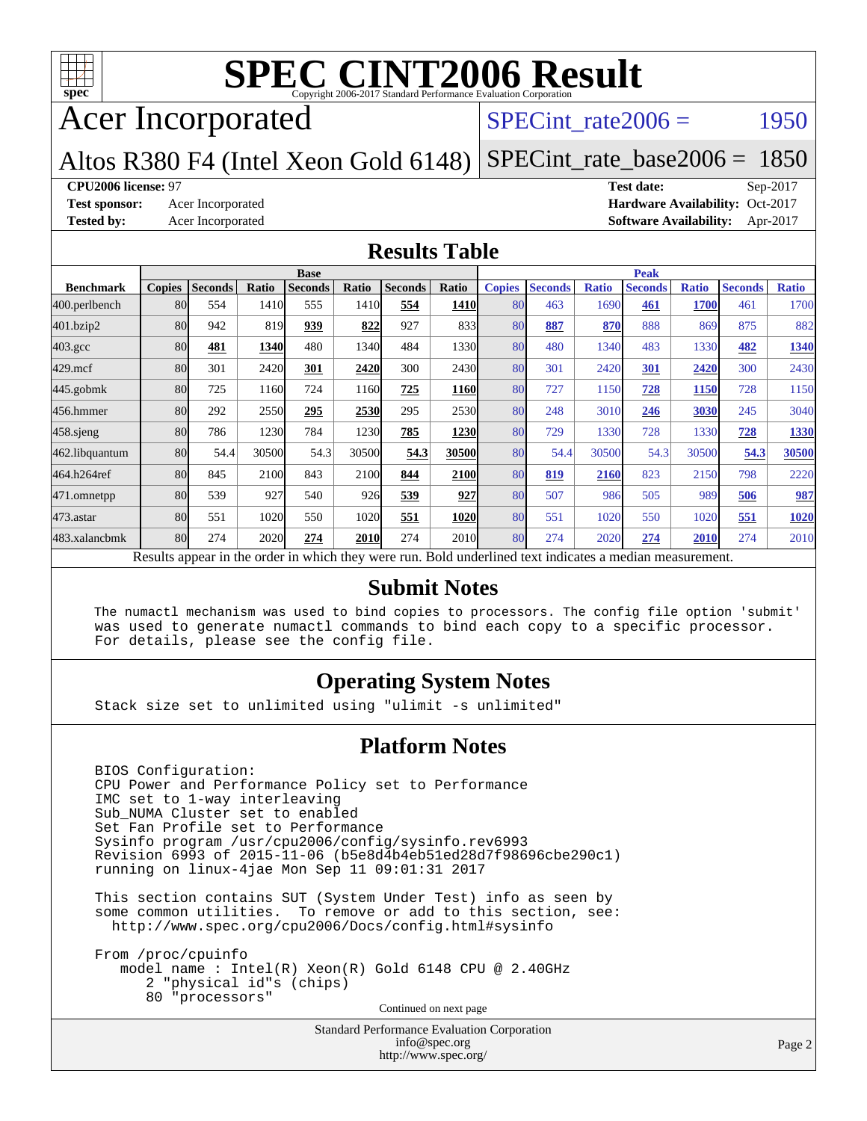

Acer Incorporated

SPECint rate $2006 =$  1950

#### Altos R380 F4 (Intel Xeon Gold 6148) [SPECint\\_rate\\_base2006 =](http://www.spec.org/auto/cpu2006/Docs/result-fields.html#SPECintratebase2006) 1850

#### **[CPU2006 license:](http://www.spec.org/auto/cpu2006/Docs/result-fields.html#CPU2006license)** 97 **[Test date:](http://www.spec.org/auto/cpu2006/Docs/result-fields.html#Testdate)** Sep-2017

**[Test sponsor:](http://www.spec.org/auto/cpu2006/Docs/result-fields.html#Testsponsor)** Acer Incorporated **Acceleration Availability:** Oct-2017 **[Tested by:](http://www.spec.org/auto/cpu2006/Docs/result-fields.html#Testedby)** Acer Incorporated **[Software Availability:](http://www.spec.org/auto/cpu2006/Docs/result-fields.html#SoftwareAvailability)** Apr-2017

### **[Results Table](http://www.spec.org/auto/cpu2006/Docs/result-fields.html#ResultsTable)**

|                                                                                                          | <b>Base</b>   |                |       |                |       |                | <b>Peak</b> |               |                |              |                |              |                |              |
|----------------------------------------------------------------------------------------------------------|---------------|----------------|-------|----------------|-------|----------------|-------------|---------------|----------------|--------------|----------------|--------------|----------------|--------------|
| <b>Benchmark</b>                                                                                         | <b>Copies</b> | <b>Seconds</b> | Ratio | <b>Seconds</b> | Ratio | <b>Seconds</b> | Ratio       | <b>Copies</b> | <b>Seconds</b> | <b>Ratio</b> | <b>Seconds</b> | <b>Ratio</b> | <b>Seconds</b> | <b>Ratio</b> |
| 400.perlbench                                                                                            | 80            | 554            | 1410  | 555            | 1410  | 554            | <b>1410</b> | 80            | 463            | 1690         | 461            | <b>1700</b>  | 461            | 1700         |
| 401.bzip2                                                                                                | 80            | 942            | 819   | 939            | 822   | 927            | 833         | 80            | 887            | 870          | 888            | 869          | 875            | 882          |
| $403.\text{gcc}$                                                                                         | 80            | 481            | 1340  | 480            | 1340  | 484            | 1330        | 80            | 480            | 1340         | 483            | 1330         | 482            | 1340         |
| $429$ .mcf                                                                                               | 80            | 301            | 2420  | 301            | 2420  | 300            | 2430        | 80            | 301            | 2420         | 301            | 2420         | 300            | 2430         |
| $445$ .gobmk                                                                                             | 80            | 725            | 1160  | 724            | 1160  | 725            | <b>1160</b> | 80            | 727            | 1150         | 728            | 1150         | 728            | 1150         |
| 456.hmmer                                                                                                | 80            | 292            | 2550  | 295            | 2530  | 295            | 2530        | 80            | 248            | 3010         | 246            | 3030         | 245            | 3040         |
| 458.sjeng                                                                                                | 80            | 786            | 1230  | 784            | 1230  | 785            | 1230        | 80            | 729            | 1330         | 728            | 1330         | 728            | 1330         |
| 462.libquantum                                                                                           | 80            | 54.4           | 30500 | 54.3           | 30500 | 54.3           | 30500       | 80            | 54.4           | 30500        | 54.3           | 30500        | 54.3           | 30500        |
| 464.h264ref                                                                                              | 80            | 845            | 2100  | 843            | 2100  | 844            | 2100        | 80            | 819            | 2160         | 823            | 2150         | 798            | 2220         |
| 471.omnetpp                                                                                              | 80            | 539            | 927   | 540            | 926   | 539            | 927         | 80            | 507            | 986          | 505            | 989          | 506            | 987          |
| $473$ . astar                                                                                            | 80            | 551            | 1020  | 550            | 1020  | 551            | 1020        | 80            | 551            | 1020         | 550            | 1020         | 551            | 1020         |
| 483.xalancbmk                                                                                            | 80            | 274            | 2020  | 274            | 2010  | 274            | 2010        | 80            | 274            | 2020         | 274            | 2010         | 274            | 2010         |
| Results appear in the order in which they were run. Bold underlined text indicates a median measurement. |               |                |       |                |       |                |             |               |                |              |                |              |                |              |

### **[Submit Notes](http://www.spec.org/auto/cpu2006/Docs/result-fields.html#SubmitNotes)**

 The numactl mechanism was used to bind copies to processors. The config file option 'submit' was used to generate numactl commands to bind each copy to a specific processor. For details, please see the config file.

### **[Operating System Notes](http://www.spec.org/auto/cpu2006/Docs/result-fields.html#OperatingSystemNotes)**

Stack size set to unlimited using "ulimit -s unlimited"

### **[Platform Notes](http://www.spec.org/auto/cpu2006/Docs/result-fields.html#PlatformNotes)**

 BIOS Configuration: CPU Power and Performance Policy set to Performance IMC set to 1-way interleaving Sub\_NUMA Cluster set to enabled Set Fan Profile set to Performance Sysinfo program /usr/cpu2006/config/sysinfo.rev6993 Revision 6993 of 2015-11-06 (b5e8d4b4eb51ed28d7f98696cbe290c1) running on linux-4jae Mon Sep 11 09:01:31 2017

 This section contains SUT (System Under Test) info as seen by some common utilities. To remove or add to this section, see: <http://www.spec.org/cpu2006/Docs/config.html#sysinfo>

 From /proc/cpuinfo model name : Intel(R) Xeon(R) Gold 6148 CPU @ 2.40GHz 2 "physical id"s (chips) 80 "processors" Continued on next page

> Standard Performance Evaluation Corporation [info@spec.org](mailto:info@spec.org) <http://www.spec.org/>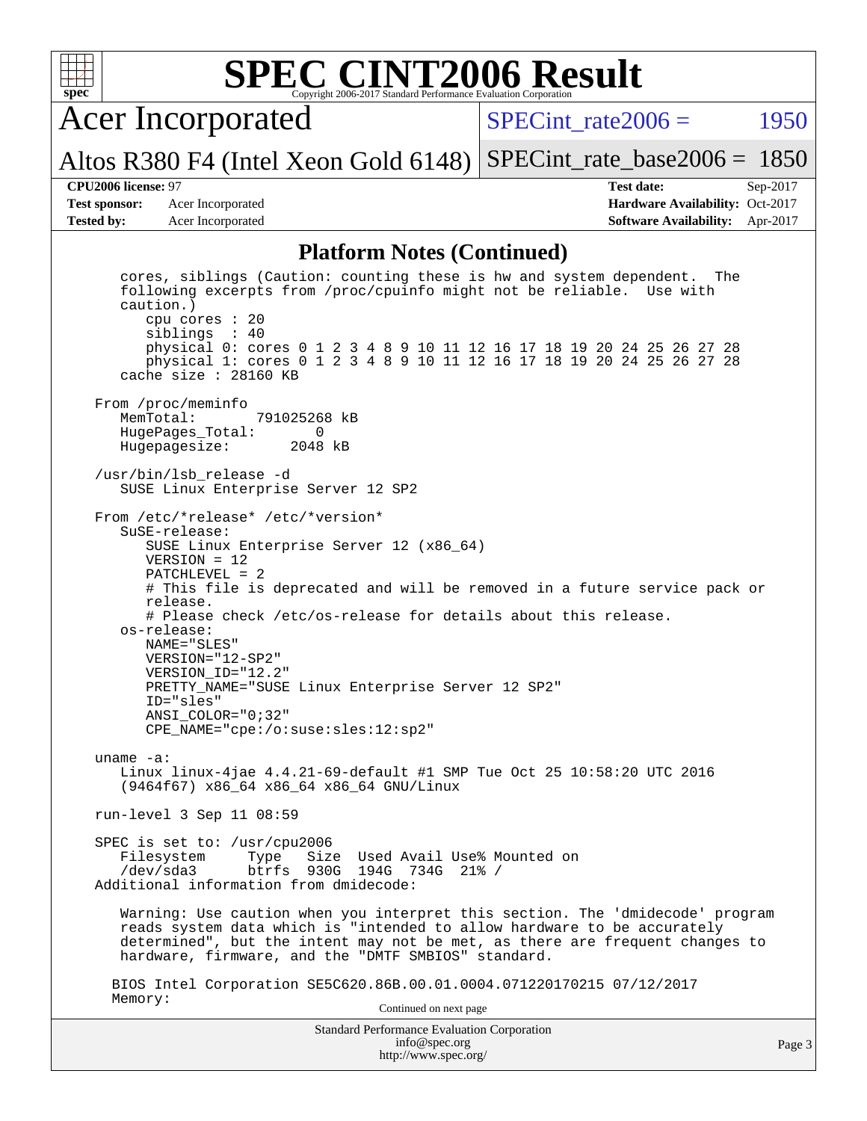

Acer Incorporated

SPECint rate $2006 =$  1950

Altos R380 F4 (Intel Xeon Gold 6148) [SPECint\\_rate\\_base2006 =](http://www.spec.org/auto/cpu2006/Docs/result-fields.html#SPECintratebase2006) 1850

**[Test sponsor:](http://www.spec.org/auto/cpu2006/Docs/result-fields.html#Testsponsor)** Acer Incorporated **Acceleration Availability:** Oct-2017

**[CPU2006 license:](http://www.spec.org/auto/cpu2006/Docs/result-fields.html#CPU2006license)** 97 **[Test date:](http://www.spec.org/auto/cpu2006/Docs/result-fields.html#Testdate)** Sep-2017 **[Tested by:](http://www.spec.org/auto/cpu2006/Docs/result-fields.html#Testedby)** Acer Incorporated **[Software Availability:](http://www.spec.org/auto/cpu2006/Docs/result-fields.html#SoftwareAvailability)** Apr-2017

### **[Platform Notes \(Continued\)](http://www.spec.org/auto/cpu2006/Docs/result-fields.html#PlatformNotes)**

Standard Performance Evaluation Corporation [info@spec.org](mailto:info@spec.org) <http://www.spec.org/> cores, siblings (Caution: counting these is hw and system dependent. The following excerpts from /proc/cpuinfo might not be reliable. Use with caution.) cpu cores : 20 siblings : 40 physical 0: cores 0 1 2 3 4 8 9 10 11 12 16 17 18 19 20 24 25 26 27 28 physical 1: cores 0 1 2 3 4 8 9 10 11 12 16 17 18 19 20 24 25 26 27 28 cache size : 28160 KB From /proc/meminfo<br>MemTotal: 791025268 kB HugePages\_Total: 0 Hugepagesize: 2048 kB /usr/bin/lsb\_release -d SUSE Linux Enterprise Server 12 SP2 From /etc/\*release\* /etc/\*version\* SuSE-release: SUSE Linux Enterprise Server 12 (x86\_64) VERSION = 12 PATCHLEVEL = 2 # This file is deprecated and will be removed in a future service pack or release. # Please check /etc/os-release for details about this release. os-release: NAME="SLES" VERSION="12-SP2" VERSION\_ID="12.2" PRETTY\_NAME="SUSE Linux Enterprise Server 12 SP2" ID="sles" ANSI\_COLOR="0;32" CPE\_NAME="cpe:/o:suse:sles:12:sp2" uname -a: Linux linux-4jae 4.4.21-69-default #1 SMP Tue Oct 25 10:58:20 UTC 2016 (9464f67) x86\_64 x86\_64 x86\_64 GNU/Linux run-level 3 Sep 11 08:59 SPEC is set to: /usr/cpu2006 Filesystem Type Size Used Avail Use% Mounted on<br>
/dev/sda3 btrfs 930G 194G 734G 21% / btrfs 930G 194G 734G 21% / Additional information from dmidecode: Warning: Use caution when you interpret this section. The 'dmidecode' program reads system data which is "intended to allow hardware to be accurately determined", but the intent may not be met, as there are frequent changes to hardware, firmware, and the "DMTF SMBIOS" standard. BIOS Intel Corporation SE5C620.86B.00.01.0004.071220170215 07/12/2017 Memory: Continued on next page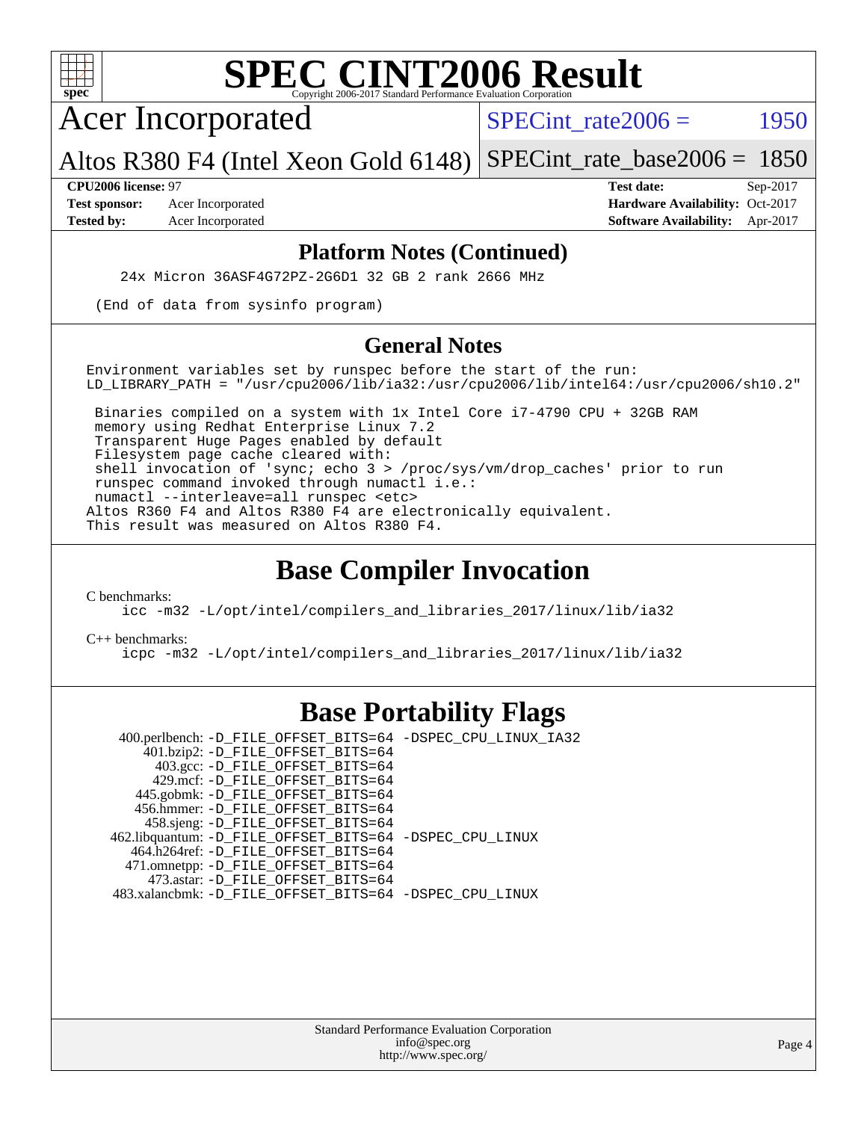

Acer Incorporated

SPECint rate $2006 =$  1950

Altos R380 F4 (Intel Xeon Gold 6148) [SPECint\\_rate\\_base2006 =](http://www.spec.org/auto/cpu2006/Docs/result-fields.html#SPECintratebase2006) 1850

**[CPU2006 license:](http://www.spec.org/auto/cpu2006/Docs/result-fields.html#CPU2006license)** 97 **[Test date:](http://www.spec.org/auto/cpu2006/Docs/result-fields.html#Testdate)** Sep-2017 **[Test sponsor:](http://www.spec.org/auto/cpu2006/Docs/result-fields.html#Testsponsor)** Acer Incorporated **Acceleration Availability:** Oct-2017 **[Tested by:](http://www.spec.org/auto/cpu2006/Docs/result-fields.html#Testedby)** Acer Incorporated **[Software Availability:](http://www.spec.org/auto/cpu2006/Docs/result-fields.html#SoftwareAvailability)** Apr-2017

### **[Platform Notes \(Continued\)](http://www.spec.org/auto/cpu2006/Docs/result-fields.html#PlatformNotes)**

24x Micron 36ASF4G72PZ-2G6D1 32 GB 2 rank 2666 MHz

(End of data from sysinfo program)

### **[General Notes](http://www.spec.org/auto/cpu2006/Docs/result-fields.html#GeneralNotes)**

Environment variables set by runspec before the start of the run: LD LIBRARY PATH = "/usr/cpu2006/lib/ia32:/usr/cpu2006/lib/intel64:/usr/cpu2006/sh10.2"

 Binaries compiled on a system with 1x Intel Core i7-4790 CPU + 32GB RAM memory using Redhat Enterprise Linux 7.2 Transparent Huge Pages enabled by default Filesystem page cache cleared with: shell invocation of 'sync; echo 3 > /proc/sys/vm/drop\_caches' prior to run runspec command invoked through numactl i.e.: numactl --interleave=all runspec <etc> Altos R360 F4 and Altos R380 F4 are electronically equivalent. This result was measured on Altos R380 F4.

### **[Base Compiler Invocation](http://www.spec.org/auto/cpu2006/Docs/result-fields.html#BaseCompilerInvocation)**

[C benchmarks](http://www.spec.org/auto/cpu2006/Docs/result-fields.html#Cbenchmarks):

[icc -m32 -L/opt/intel/compilers\\_and\\_libraries\\_2017/linux/lib/ia32](http://www.spec.org/cpu2006/results/res2017q4/cpu2006-20170918-49427.flags.html#user_CCbase_intel_icc_c29f3ff5a7ed067b11e4ec10a03f03ae)

[C++ benchmarks:](http://www.spec.org/auto/cpu2006/Docs/result-fields.html#CXXbenchmarks)

[icpc -m32 -L/opt/intel/compilers\\_and\\_libraries\\_2017/linux/lib/ia32](http://www.spec.org/cpu2006/results/res2017q4/cpu2006-20170918-49427.flags.html#user_CXXbase_intel_icpc_8c35c7808b62dab9ae41a1aa06361b6b)

## **[Base Portability Flags](http://www.spec.org/auto/cpu2006/Docs/result-fields.html#BasePortabilityFlags)**

 400.perlbench: [-D\\_FILE\\_OFFSET\\_BITS=64](http://www.spec.org/cpu2006/results/res2017q4/cpu2006-20170918-49427.flags.html#user_basePORTABILITY400_perlbench_file_offset_bits_64_438cf9856305ebd76870a2c6dc2689ab) [-DSPEC\\_CPU\\_LINUX\\_IA32](http://www.spec.org/cpu2006/results/res2017q4/cpu2006-20170918-49427.flags.html#b400.perlbench_baseCPORTABILITY_DSPEC_CPU_LINUX_IA32) 401.bzip2: [-D\\_FILE\\_OFFSET\\_BITS=64](http://www.spec.org/cpu2006/results/res2017q4/cpu2006-20170918-49427.flags.html#user_basePORTABILITY401_bzip2_file_offset_bits_64_438cf9856305ebd76870a2c6dc2689ab) 403.gcc: [-D\\_FILE\\_OFFSET\\_BITS=64](http://www.spec.org/cpu2006/results/res2017q4/cpu2006-20170918-49427.flags.html#user_basePORTABILITY403_gcc_file_offset_bits_64_438cf9856305ebd76870a2c6dc2689ab) 429.mcf: [-D\\_FILE\\_OFFSET\\_BITS=64](http://www.spec.org/cpu2006/results/res2017q4/cpu2006-20170918-49427.flags.html#user_basePORTABILITY429_mcf_file_offset_bits_64_438cf9856305ebd76870a2c6dc2689ab) 445.gobmk: [-D\\_FILE\\_OFFSET\\_BITS=64](http://www.spec.org/cpu2006/results/res2017q4/cpu2006-20170918-49427.flags.html#user_basePORTABILITY445_gobmk_file_offset_bits_64_438cf9856305ebd76870a2c6dc2689ab) 456.hmmer: [-D\\_FILE\\_OFFSET\\_BITS=64](http://www.spec.org/cpu2006/results/res2017q4/cpu2006-20170918-49427.flags.html#user_basePORTABILITY456_hmmer_file_offset_bits_64_438cf9856305ebd76870a2c6dc2689ab) 458.sjeng: [-D\\_FILE\\_OFFSET\\_BITS=64](http://www.spec.org/cpu2006/results/res2017q4/cpu2006-20170918-49427.flags.html#user_basePORTABILITY458_sjeng_file_offset_bits_64_438cf9856305ebd76870a2c6dc2689ab) 462.libquantum: [-D\\_FILE\\_OFFSET\\_BITS=64](http://www.spec.org/cpu2006/results/res2017q4/cpu2006-20170918-49427.flags.html#user_basePORTABILITY462_libquantum_file_offset_bits_64_438cf9856305ebd76870a2c6dc2689ab) [-DSPEC\\_CPU\\_LINUX](http://www.spec.org/cpu2006/results/res2017q4/cpu2006-20170918-49427.flags.html#b462.libquantum_baseCPORTABILITY_DSPEC_CPU_LINUX) 464.h264ref: [-D\\_FILE\\_OFFSET\\_BITS=64](http://www.spec.org/cpu2006/results/res2017q4/cpu2006-20170918-49427.flags.html#user_basePORTABILITY464_h264ref_file_offset_bits_64_438cf9856305ebd76870a2c6dc2689ab) 471.omnetpp: [-D\\_FILE\\_OFFSET\\_BITS=64](http://www.spec.org/cpu2006/results/res2017q4/cpu2006-20170918-49427.flags.html#user_basePORTABILITY471_omnetpp_file_offset_bits_64_438cf9856305ebd76870a2c6dc2689ab) 473.astar: [-D\\_FILE\\_OFFSET\\_BITS=64](http://www.spec.org/cpu2006/results/res2017q4/cpu2006-20170918-49427.flags.html#user_basePORTABILITY473_astar_file_offset_bits_64_438cf9856305ebd76870a2c6dc2689ab) 483.xalancbmk: [-D\\_FILE\\_OFFSET\\_BITS=64](http://www.spec.org/cpu2006/results/res2017q4/cpu2006-20170918-49427.flags.html#user_basePORTABILITY483_xalancbmk_file_offset_bits_64_438cf9856305ebd76870a2c6dc2689ab) [-DSPEC\\_CPU\\_LINUX](http://www.spec.org/cpu2006/results/res2017q4/cpu2006-20170918-49427.flags.html#b483.xalancbmk_baseCXXPORTABILITY_DSPEC_CPU_LINUX)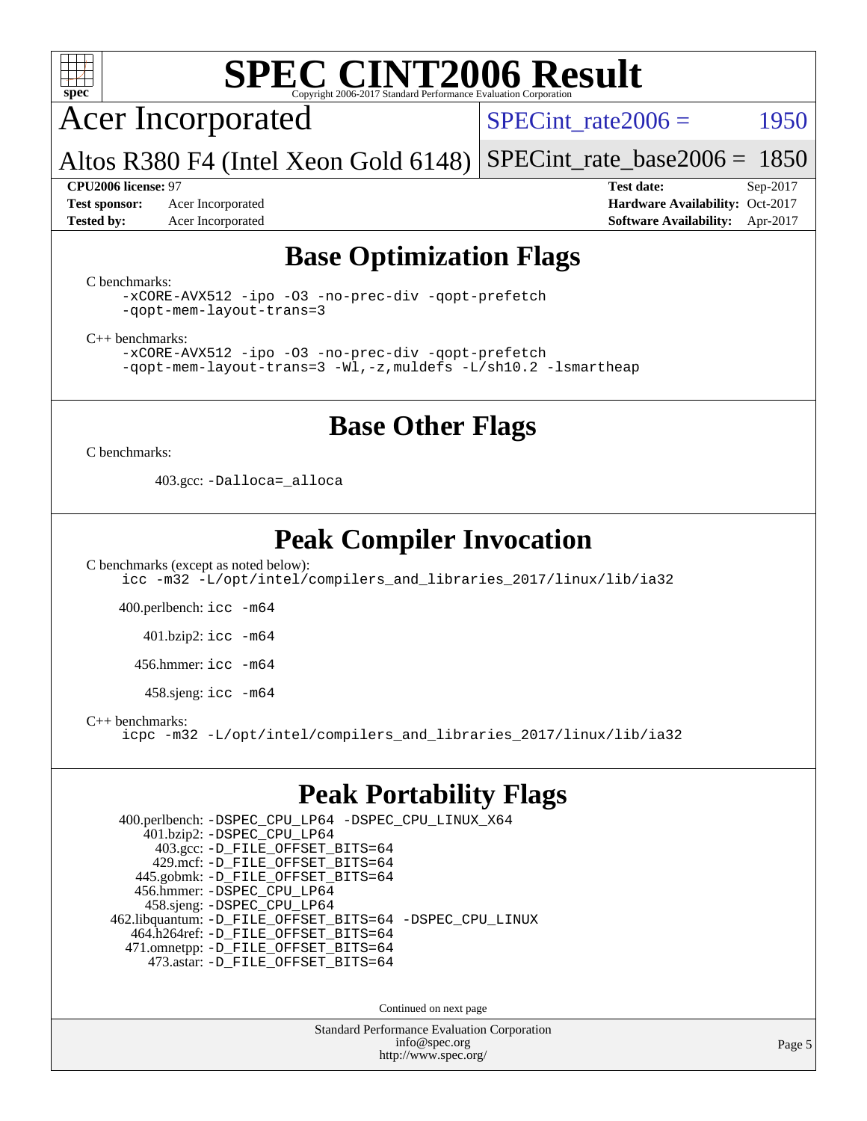

Acer Incorporated

SPECint rate $2006 =$  1950

Altos R380 F4 (Intel Xeon Gold 6148) [SPECint\\_rate\\_base2006 =](http://www.spec.org/auto/cpu2006/Docs/result-fields.html#SPECintratebase2006) 1850

**[Test sponsor:](http://www.spec.org/auto/cpu2006/Docs/result-fields.html#Testsponsor)** Acer Incorporated **Acceleration Availability:** Oct-2017

**[CPU2006 license:](http://www.spec.org/auto/cpu2006/Docs/result-fields.html#CPU2006license)** 97 **[Test date:](http://www.spec.org/auto/cpu2006/Docs/result-fields.html#Testdate)** Sep-2017 **[Tested by:](http://www.spec.org/auto/cpu2006/Docs/result-fields.html#Testedby)** Acer Incorporated **[Software Availability:](http://www.spec.org/auto/cpu2006/Docs/result-fields.html#SoftwareAvailability)** Apr-2017

### **[Base Optimization Flags](http://www.spec.org/auto/cpu2006/Docs/result-fields.html#BaseOptimizationFlags)**

[C benchmarks](http://www.spec.org/auto/cpu2006/Docs/result-fields.html#Cbenchmarks):

[-xCORE-AVX512](http://www.spec.org/cpu2006/results/res2017q4/cpu2006-20170918-49427.flags.html#user_CCbase_f-xCORE-AVX512) [-ipo](http://www.spec.org/cpu2006/results/res2017q4/cpu2006-20170918-49427.flags.html#user_CCbase_f-ipo) [-O3](http://www.spec.org/cpu2006/results/res2017q4/cpu2006-20170918-49427.flags.html#user_CCbase_f-O3) [-no-prec-div](http://www.spec.org/cpu2006/results/res2017q4/cpu2006-20170918-49427.flags.html#user_CCbase_f-no-prec-div) [-qopt-prefetch](http://www.spec.org/cpu2006/results/res2017q4/cpu2006-20170918-49427.flags.html#user_CCbase_f-qopt-prefetch) [-qopt-mem-layout-trans=3](http://www.spec.org/cpu2006/results/res2017q4/cpu2006-20170918-49427.flags.html#user_CCbase_f-qopt-mem-layout-trans_170f5be61cd2cedc9b54468c59262d5d)

[C++ benchmarks:](http://www.spec.org/auto/cpu2006/Docs/result-fields.html#CXXbenchmarks)

[-xCORE-AVX512](http://www.spec.org/cpu2006/results/res2017q4/cpu2006-20170918-49427.flags.html#user_CXXbase_f-xCORE-AVX512) [-ipo](http://www.spec.org/cpu2006/results/res2017q4/cpu2006-20170918-49427.flags.html#user_CXXbase_f-ipo) [-O3](http://www.spec.org/cpu2006/results/res2017q4/cpu2006-20170918-49427.flags.html#user_CXXbase_f-O3) [-no-prec-div](http://www.spec.org/cpu2006/results/res2017q4/cpu2006-20170918-49427.flags.html#user_CXXbase_f-no-prec-div) [-qopt-prefetch](http://www.spec.org/cpu2006/results/res2017q4/cpu2006-20170918-49427.flags.html#user_CXXbase_f-qopt-prefetch) [-qopt-mem-layout-trans=3](http://www.spec.org/cpu2006/results/res2017q4/cpu2006-20170918-49427.flags.html#user_CXXbase_f-qopt-mem-layout-trans_170f5be61cd2cedc9b54468c59262d5d) [-Wl,-z,muldefs](http://www.spec.org/cpu2006/results/res2017q4/cpu2006-20170918-49427.flags.html#user_CXXbase_link_force_multiple1_74079c344b956b9658436fd1b6dd3a8a) [-L/sh10.2 -lsmartheap](http://www.spec.org/cpu2006/results/res2017q4/cpu2006-20170918-49427.flags.html#user_CXXbase_SmartHeap_b831f2d313e2fffa6dfe3f00ffc1f1c0)

### **[Base Other Flags](http://www.spec.org/auto/cpu2006/Docs/result-fields.html#BaseOtherFlags)**

[C benchmarks](http://www.spec.org/auto/cpu2006/Docs/result-fields.html#Cbenchmarks):

403.gcc: [-Dalloca=\\_alloca](http://www.spec.org/cpu2006/results/res2017q4/cpu2006-20170918-49427.flags.html#b403.gcc_baseEXTRA_CFLAGS_Dalloca_be3056838c12de2578596ca5467af7f3)

## **[Peak Compiler Invocation](http://www.spec.org/auto/cpu2006/Docs/result-fields.html#PeakCompilerInvocation)**

[C benchmarks \(except as noted below\)](http://www.spec.org/auto/cpu2006/Docs/result-fields.html#Cbenchmarksexceptasnotedbelow): [icc -m32 -L/opt/intel/compilers\\_and\\_libraries\\_2017/linux/lib/ia32](http://www.spec.org/cpu2006/results/res2017q4/cpu2006-20170918-49427.flags.html#user_CCpeak_intel_icc_c29f3ff5a7ed067b11e4ec10a03f03ae)

400.perlbench: [icc -m64](http://www.spec.org/cpu2006/results/res2017q4/cpu2006-20170918-49427.flags.html#user_peakCCLD400_perlbench_intel_icc_64bit_bda6cc9af1fdbb0edc3795bac97ada53)

401.bzip2: [icc -m64](http://www.spec.org/cpu2006/results/res2017q4/cpu2006-20170918-49427.flags.html#user_peakCCLD401_bzip2_intel_icc_64bit_bda6cc9af1fdbb0edc3795bac97ada53)

456.hmmer: [icc -m64](http://www.spec.org/cpu2006/results/res2017q4/cpu2006-20170918-49427.flags.html#user_peakCCLD456_hmmer_intel_icc_64bit_bda6cc9af1fdbb0edc3795bac97ada53)

458.sjeng: [icc -m64](http://www.spec.org/cpu2006/results/res2017q4/cpu2006-20170918-49427.flags.html#user_peakCCLD458_sjeng_intel_icc_64bit_bda6cc9af1fdbb0edc3795bac97ada53)

[C++ benchmarks:](http://www.spec.org/auto/cpu2006/Docs/result-fields.html#CXXbenchmarks)

[icpc -m32 -L/opt/intel/compilers\\_and\\_libraries\\_2017/linux/lib/ia32](http://www.spec.org/cpu2006/results/res2017q4/cpu2006-20170918-49427.flags.html#user_CXXpeak_intel_icpc_8c35c7808b62dab9ae41a1aa06361b6b)

### **[Peak Portability Flags](http://www.spec.org/auto/cpu2006/Docs/result-fields.html#PeakPortabilityFlags)**

 400.perlbench: [-DSPEC\\_CPU\\_LP64](http://www.spec.org/cpu2006/results/res2017q4/cpu2006-20170918-49427.flags.html#b400.perlbench_peakCPORTABILITY_DSPEC_CPU_LP64) [-DSPEC\\_CPU\\_LINUX\\_X64](http://www.spec.org/cpu2006/results/res2017q4/cpu2006-20170918-49427.flags.html#b400.perlbench_peakCPORTABILITY_DSPEC_CPU_LINUX_X64) 401.bzip2: [-DSPEC\\_CPU\\_LP64](http://www.spec.org/cpu2006/results/res2017q4/cpu2006-20170918-49427.flags.html#suite_peakCPORTABILITY401_bzip2_DSPEC_CPU_LP64) 403.gcc: [-D\\_FILE\\_OFFSET\\_BITS=64](http://www.spec.org/cpu2006/results/res2017q4/cpu2006-20170918-49427.flags.html#user_peakPORTABILITY403_gcc_file_offset_bits_64_438cf9856305ebd76870a2c6dc2689ab) 429.mcf: [-D\\_FILE\\_OFFSET\\_BITS=64](http://www.spec.org/cpu2006/results/res2017q4/cpu2006-20170918-49427.flags.html#user_peakPORTABILITY429_mcf_file_offset_bits_64_438cf9856305ebd76870a2c6dc2689ab) 445.gobmk: [-D\\_FILE\\_OFFSET\\_BITS=64](http://www.spec.org/cpu2006/results/res2017q4/cpu2006-20170918-49427.flags.html#user_peakPORTABILITY445_gobmk_file_offset_bits_64_438cf9856305ebd76870a2c6dc2689ab) 456.hmmer: [-DSPEC\\_CPU\\_LP64](http://www.spec.org/cpu2006/results/res2017q4/cpu2006-20170918-49427.flags.html#suite_peakCPORTABILITY456_hmmer_DSPEC_CPU_LP64) 458.sjeng: [-DSPEC\\_CPU\\_LP64](http://www.spec.org/cpu2006/results/res2017q4/cpu2006-20170918-49427.flags.html#suite_peakCPORTABILITY458_sjeng_DSPEC_CPU_LP64) 462.libquantum: [-D\\_FILE\\_OFFSET\\_BITS=64](http://www.spec.org/cpu2006/results/res2017q4/cpu2006-20170918-49427.flags.html#user_peakPORTABILITY462_libquantum_file_offset_bits_64_438cf9856305ebd76870a2c6dc2689ab) [-DSPEC\\_CPU\\_LINUX](http://www.spec.org/cpu2006/results/res2017q4/cpu2006-20170918-49427.flags.html#b462.libquantum_peakCPORTABILITY_DSPEC_CPU_LINUX) 464.h264ref: [-D\\_FILE\\_OFFSET\\_BITS=64](http://www.spec.org/cpu2006/results/res2017q4/cpu2006-20170918-49427.flags.html#user_peakPORTABILITY464_h264ref_file_offset_bits_64_438cf9856305ebd76870a2c6dc2689ab) 471.omnetpp: [-D\\_FILE\\_OFFSET\\_BITS=64](http://www.spec.org/cpu2006/results/res2017q4/cpu2006-20170918-49427.flags.html#user_peakPORTABILITY471_omnetpp_file_offset_bits_64_438cf9856305ebd76870a2c6dc2689ab) 473.astar: [-D\\_FILE\\_OFFSET\\_BITS=64](http://www.spec.org/cpu2006/results/res2017q4/cpu2006-20170918-49427.flags.html#user_peakPORTABILITY473_astar_file_offset_bits_64_438cf9856305ebd76870a2c6dc2689ab)

Continued on next page

Standard Performance Evaluation Corporation [info@spec.org](mailto:info@spec.org) <http://www.spec.org/>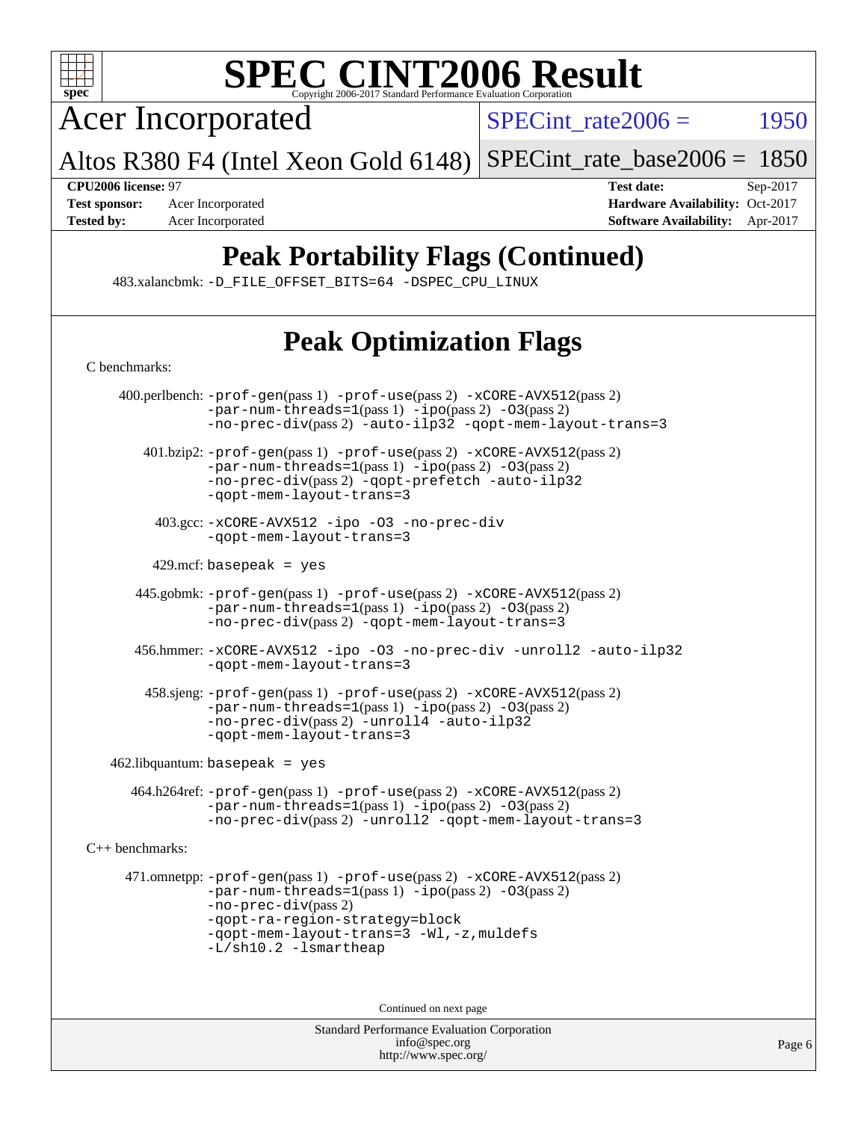

Acer Incorporated

 $SPECTnt_rate2006 = 1950$ 

Altos R380 F4 (Intel Xeon Gold 6148) [SPECint\\_rate\\_base2006 =](http://www.spec.org/auto/cpu2006/Docs/result-fields.html#SPECintratebase2006) 1850

**[CPU2006 license:](http://www.spec.org/auto/cpu2006/Docs/result-fields.html#CPU2006license)** 97 **[Test date:](http://www.spec.org/auto/cpu2006/Docs/result-fields.html#Testdate)** Sep-2017 **[Test sponsor:](http://www.spec.org/auto/cpu2006/Docs/result-fields.html#Testsponsor)** Acer Incorporated **[Hardware Availability:](http://www.spec.org/auto/cpu2006/Docs/result-fields.html#HardwareAvailability)** Oct-2017 **[Tested by:](http://www.spec.org/auto/cpu2006/Docs/result-fields.html#Testedby)** Acer Incorporated **[Software Availability:](http://www.spec.org/auto/cpu2006/Docs/result-fields.html#SoftwareAvailability)** Apr-2017

# **[Peak Portability Flags \(Continued\)](http://www.spec.org/auto/cpu2006/Docs/result-fields.html#PeakPortabilityFlags)**

483.xalancbmk: [-D\\_FILE\\_OFFSET\\_BITS=64](http://www.spec.org/cpu2006/results/res2017q4/cpu2006-20170918-49427.flags.html#user_peakPORTABILITY483_xalancbmk_file_offset_bits_64_438cf9856305ebd76870a2c6dc2689ab) [-DSPEC\\_CPU\\_LINUX](http://www.spec.org/cpu2006/results/res2017q4/cpu2006-20170918-49427.flags.html#b483.xalancbmk_peakCXXPORTABILITY_DSPEC_CPU_LINUX)

# **[Peak Optimization Flags](http://www.spec.org/auto/cpu2006/Docs/result-fields.html#PeakOptimizationFlags)**

| C benchmarks:          |                                                                                                                                                                                                                                                                       |  |  |  |
|------------------------|-----------------------------------------------------------------------------------------------------------------------------------------------------------------------------------------------------------------------------------------------------------------------|--|--|--|
|                        | 400.perlbench: -prof-gen(pass 1) -prof-use(pass 2) -xCORE-AVX512(pass 2)<br>$-par-num-threads=1(pass 1) -ipo(pass 2) -03(pass 2)$<br>-no-prec-div(pass 2) -auto-ilp32 -qopt-mem-layout-trans=3                                                                        |  |  |  |
|                        | 401.bzip2: -prof-gen(pass 1) -prof-use(pass 2) -xCORE-AVX512(pass 2)<br>$-par-num-threads=1(pass 1) -ipo(pass 2) -03(pass 2)$<br>-no-prec-div(pass 2) -qopt-prefetch -auto-ilp32<br>-qopt-mem-layout-trans=3                                                          |  |  |  |
|                        | 403.gcc: -xCORE-AVX512 -ipo -03 -no-prec-div<br>-qopt-mem-layout-trans=3                                                                                                                                                                                              |  |  |  |
|                        | 429.mcf: basepeak = $yes$                                                                                                                                                                                                                                             |  |  |  |
|                        | 445.gobmk: -prof-gen(pass 1) -prof-use(pass 2) -xCORE-AVX512(pass 2)<br>$-par-num-threads=1(pass 1) -ipo(pass 2) -03(pass 2)$<br>-no-prec-div(pass 2) -qopt-mem-layout-trans=3                                                                                        |  |  |  |
|                        | 456.hmmer: -xCORE-AVX512 -ipo -03 -no-prec-div -unroll2 -auto-ilp32<br>-qopt-mem-layout-trans=3                                                                                                                                                                       |  |  |  |
|                        | 458.sjeng: -prof-gen(pass 1) -prof-use(pass 2) -xCORE-AVX512(pass 2)<br>-par-num-threads=1(pass 1) -ipo(pass 2) -03(pass 2)<br>-no-prec-div(pass 2) -unroll4 -auto-ilp32<br>-gopt-mem-layout-trans=3                                                                  |  |  |  |
|                        | $462$ .libquantum: basepeak = yes                                                                                                                                                                                                                                     |  |  |  |
|                        | 464.h264ref: -prof-gen(pass 1) -prof-use(pass 2) -xCORE-AVX512(pass 2)<br>$-par-num-threads=1(pass 1) -ipo(pass 2) -03(pass 2)$<br>-no-prec-div(pass 2) -unroll2 -qopt-mem-layout-trans=3                                                                             |  |  |  |
| $C_{++}$ benchmarks:   |                                                                                                                                                                                                                                                                       |  |  |  |
|                        | 471.omnetpp: -prof-gen(pass 1) -prof-use(pass 2) -xCORE-AVX512(pass 2)<br>$-par-num-threads=1(pass 1) -ipo(pass 2) -03(pass 2)$<br>$-no-prec-div(pass 2)$<br>-qopt-ra-region-strategy=block<br>-qopt-mem-layout-trans=3 -Wl,-z, muldefs<br>$-L/\nsh10.2 - lsmartheap$ |  |  |  |
| Continued on next page |                                                                                                                                                                                                                                                                       |  |  |  |
|                        | Standard Performance Evaluation Corporation<br>info@spec.org                                                                                                                                                                                                          |  |  |  |

<http://www.spec.org/>